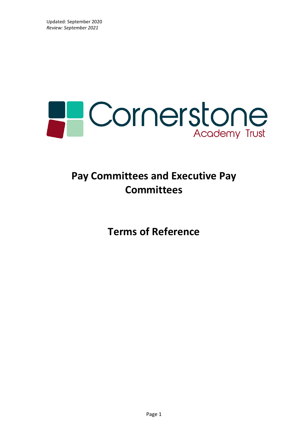

# **Pay Committees and Executive Pay Committees**

**Terms of Reference**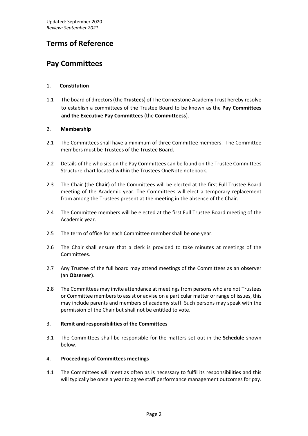# **Terms of Reference**

# **Pay Committees**

# 1. **Constitution**

1.1 The board of directors (the **Trustees**) of The Cornerstone Academy Trust hereby resolve to establish a committees of the Trustee Board to be known as the **Pay Committees and the Executive Pay Committees** (the **Committeess**).

# 2. **Membership**

- 2.1 The Committees shall have a minimum of three Committee members. The Committee members must be Trustees of the Trustee Board.
- 2.2 Details of the who sits on the Pay Committees can be found on the Trustee Committees Structure chart located within the Trustees OneNote notebook.
- 2.3 The Chair (the **Chair**) of the Committees will be elected at the first Full Trustee Board meeting of the Academic year. The Committees will elect a temporary replacement from among the Trustees present at the meeting in the absence of the Chair.
- 2.4 The Committee members will be elected at the first Full Trustee Board meeting of the Academic year.
- 2.5 The term of office for each Committee member shall be one year.
- 2.6 The Chair shall ensure that a clerk is provided to take minutes at meetings of the Committees.
- 2.7 Any Trustee of the full board may attend meetings of the Committees as an observer (an **Observer)**.
- 2.8 The Committees may invite attendance at meetings from persons who are not Trustees or Committee members to assist or advise on a particular matter or range of issues, this may include parents and members of academy staff. Such persons may speak with the permission of the Chair but shall not be entitled to vote.

# 3. **Remit and responsibilities of the Committees**

3.1 The Committees shall be responsible for the matters set out in the **Schedule** shown below.

# 4. **Proceedings of Committees meetings**

4.1 The Committees will meet as often as is necessary to fulfil its responsibilities and this will typically be once a year to agree staff performance management outcomes for pay.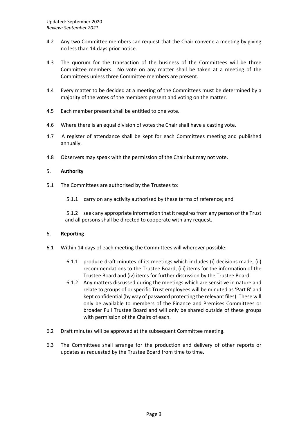- 4.2 Any two Committee members can request that the Chair convene a meeting by giving no less than 14 days prior notice.
- 4.3 The quorum for the transaction of the business of the Committees will be three Committee members. No vote on any matter shall be taken at a meeting of the Committees unless three Committee members are present.
- 4.4 Every matter to be decided at a meeting of the Committees must be determined by a majority of the votes of the members present and voting on the matter.
- 4.5 Each member present shall be entitled to one vote.
- 4.6 Where there is an equal division of votes the Chair shall have a casting vote.
- 4.7 A register of attendance shall be kept for each Committees meeting and published annually.
- 4.8 Observers may speak with the permission of the Chair but may not vote.

#### 5. **Authority**

- 5.1 The Committees are authorised by the Trustees to:
	- 5.1.1 carry on any activity authorised by these terms of reference; and

5.1.2 seek any appropriate information that it requires from any person of the Trust and all persons shall be directed to cooperate with any request.

#### 6. **Reporting**

- 6.1 Within 14 days of each meeting the Committees will wherever possible:
	- 6.1.1 produce draft minutes of its meetings which includes (i) decisions made, (ii) recommendations to the Trustee Board, (iii) items for the information of the Trustee Board and (iv) items for further discussion by the Trustee Board.
	- 6.1.2 Any matters discussed during the meetings which are sensitive in nature and relate to groups of or specific Trust employees will be minuted as 'Part B' and kept confidential (by way of password protecting the relevant files). These will only be available to members of the Finance and Premises Committees or broader Full Trustee Board and will only be shared outside of these groups with permission of the Chairs of each.
- 6.2 Draft minutes will be approved at the subsequent Committee meeting.
- 6.3 The Committees shall arrange for the production and delivery of other reports or updates as requested by the Trustee Board from time to time.